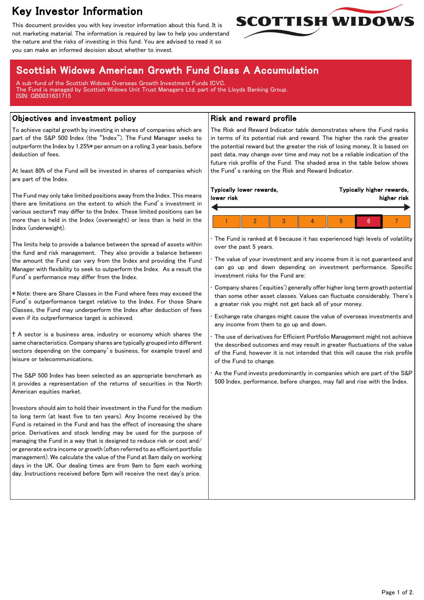# Key Investor Information

This document provides you with key investor information about this fund. It is not marketing material. The information is required by law to help you understand the nature and the risks of investing in this fund. You are advised to read it so you can make an informed decision about whether to invest.



## Scottish Widows American Growth Fund Class A Accumulation

A sub-fund of the Scottish Widows Overseas Growth Investment Funds ICVC. The Fund is managed by Scottish Widows Unit Trust Managers Ltd, part of the Lloyds Banking Group. ISIN: GB0031631715

#### Objectives and investment policy

To achieve capital growth by investing in shares of companies which are part of the S&P 500 Index (the "Index"). The Fund Manager seeks to outperform the Index by 1.25%\* per annum on a rolling 3 year basis, before deduction of fees.

At least 80% of the Fund will be invested in shares of companies which are part of the Index.

The Fund may only take limited positions away from the Index. This means there are limitations on the extent to which the Fund's investment in various sectors† may differ to the Index. These limited positions can be more than is held in the Index (overweight) or less than is held in the Index (underweight).

The limits help to provide a balance between the spread of assets within the fund and risk management. They also provide a balance between the amount the Fund can vary from the Index and providing the Fund Manager with flexibility to seek to outperform the Index. As a result the Fund's performance may differ from the Index.

\* Note: there are Share Classes in the Fund where fees may exceed the Fund's outperformance target relative to the Index. For those Share Classes, the Fund may underperform the Index after deduction of fees even if its outperformance target is achieved.

† A sector is a business area, industry or economy which shares the same characteristics. Company shares are typically grouped into different sectors depending on the company's business, for example travel and leisure or telecommunications.

The S&P 500 Index has been selected as an appropriate benchmark as it provides a representation of the returns of securities in the North American equities market.

Investors should aim to hold their investment in the Fund for the medium to long term (at least five to ten years). Any Income received by the Fund is retained in the Fund and has the effect of increasing the share price. Derivatives and stock lending may be used for the purpose of managing the Fund in a way that is designed to reduce risk or cost and/ or generate extra income or growth (often referred to as efficient portfolio management). We calculate the value of the Fund at 8am daily on working days in the UK. Our dealing times are from 9am to 5pm each working day. Instructions received before 5pm will receive the next day's price.

### Risk and reward profile

The Risk and Reward Indicator table demonstrates where the Fund ranks in terms of its potential risk and reward. The higher the rank the greater the potential reward but the greater the risk of losing money. It is based on past data, may change over time and may not be a reliable indication of the future risk profile of the Fund. The shaded area in the table below shows the Fund's ranking on the Risk and Reward Indicator.

| lower risk | Typically lower rewards, |  | Typically higher rewards,<br>higher risk |  |  |
|------------|--------------------------|--|------------------------------------------|--|--|
|            |                          |  |                                          |  |  |
|            |                          |  | h                                        |  |  |

The Fund is ranked at 6 because it has experienced high levels of volatility over the past 5 years.

The value of your investment and any income from it is not guaranteed and can go up and down depending on investment performance. Specific investment risks for the Fund are:

• Company shares ('equities') generally offer higher long term growth potential than some other asset classes. Values can fluctuate considerably. There's a greater risk you might not get back all of your money.

• Exchange rate changes might cause the value of overseas investments and any income from them to go up and down.

• The use of derivatives for Efficient Portfolio Management might not achieve the described outcomes and may result in greater fluctuations of the value of the Fund, however it is not intended that this will cause the risk profile of the Fund to change.

As the Fund invests predominantly in companies which are part of the S&P 500 Index, performance, before charges, may fall and rise with the Index.